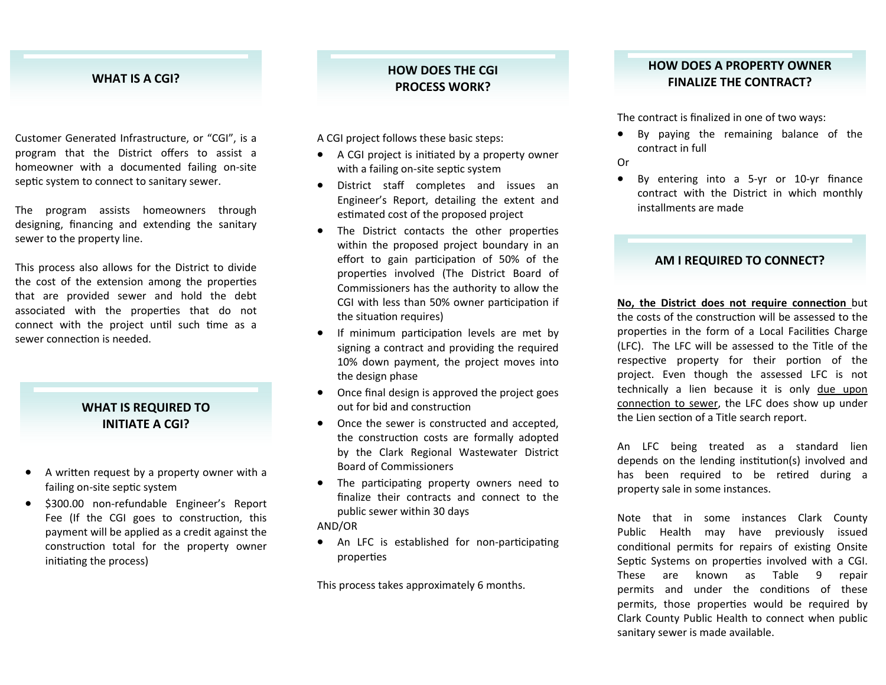Customer Generated Infrastructure, or "CGI", is a program that the District o ffers to assist a homeowner with a documented failing on‐site sep Ɵc system to connect to sanitary sewer.

The program assists homeowners through designing, financing and extending the sanitary sewer to the property line.

This process also allows for the District to divide the cost of the extension among the properties that are provided sewer and hold the debt associated with the properties that do not connect with the project until such time as a sewer connection is needed.

# **WHAT IS REQUIRED TO INITIATE A CGI?**

- $\bullet$ A written request by a property owner with a failing on-site septic system
- \$300.00 non-refundable Engineer's Report Fee (If the CGI goes to construction, this payment will be applied as a credit against the construction total for the property owner initiating the process)

# **HOW DOES THE CGI PROCESS WORK?** WHAT IS A CGI?

A CGI project follows these basic steps:

- $\bullet$  A CGI project is initiated by a property owner with a failing on-site septic system
- $\bullet$  District sta ff completes and issues an Engineer's Report, detailing the extent and es Ɵmated cost of the proposed project
- $\bullet$ The District contacts the other properties within the proposed project boundary in an effort to gain participation of 50% of the properties involved (The District Board of Commissioners has the authority to allow the CGI with less than 50% owner participation if the situation requires)
- $\bullet$ If minimum participation levels are met by signing a contract and providing the required 10% down payment, the project moves into the design phase
- Once final design is approved the project goes out for bid and construction
- Once the sewer is constructed and accepted, the construction costs are formally adopted by the Clark Regional Wastewater District Board of Commissioners
- The participating property owners need to finalize their contracts and connect to the public sewer within 30 days

AND/OR

● An LFC is established for non-participating properties

This process takes approximately 6 months.

# **HOW DOES A PROPERTY OWNER FINALIZE THE CONTRACT?**

The contract is finalized in one of two ways:

 By paying the remaining balance of the contract in full

Or

 $\bullet$  By entering into a 5‐yr or 10‐yr finance contract with the District in which monthly installments are made

### **AM I REQUIRED TO CONNECT?**

#### **No, the District does not require connec Ɵon** but

the costs of the construction will be assessed to the properties in the form of a Local Facilities Charge (LFC). The LFC will be assessed to the Title of the respective property for their portion of the project. Even though the assessed LFC is not technically a lien because it is only due upon connection to sewer, the LFC does show up under the Lien section of a Title search report.

An LFC being treated as a standard lien depends on the lending institution(s) involved and has been required to be retired during a property sale in some instances.

Note that in some instances Clark County Public Health may have previously issued conditional permits for repairs of existing Onsite Septic Systems on properties involved with a CGI. These are known as Table 9 repair permits and under the conditions of these permits, those properties would be required by Clark County Public Health to connect when public sanitary sewer is made available.